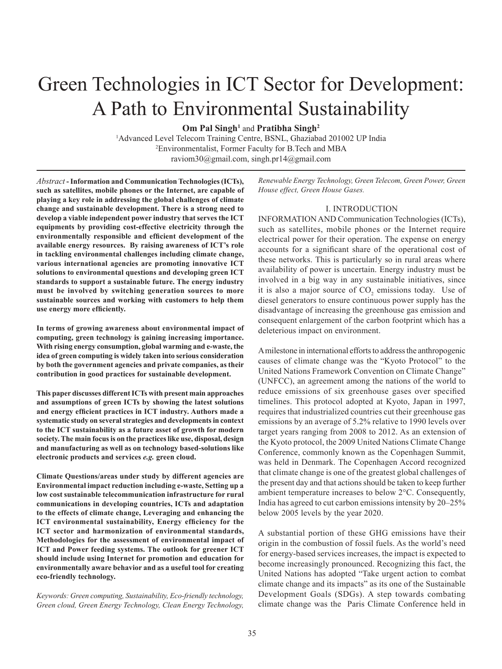# Green Technologies in ICT Sector for Development: A Path to Environmental Sustainability

**Om Pal Singh1** and **Pratibha Singh2**

1 Advanced Level Telecom Training Centre, BSNL, Ghaziabad 201002 UP India 2 Environmentalist, Former Faculty for B.Tech and MBA raviom30@gmail.com, singh.pr14@gmail.com

*Abstract* **- Information and Communication Technologies (ICTs), such as satellites, mobile phones or the Internet, are capable of playing a key role in addressing the global challenges of climate change and sustainable development. There is a strong need to develop a viable independent power industry that serves the ICT equipments by providing cost-effective electricity through the environmentally responsible and efficient development of the available energy resources. By raising awareness of ICT's role in tackling environmental challenges including climate change, various international agencies are promoting innovative ICT solutions to environmental questions and developing green ICT standards to support a sustainable future. The energy industry must be involved by switching generation sources to more sustainable sources and working with customers to help them use energy more efficiently.** 

**In terms of growing awareness about environmental impact of computing, green technology is gaining increasing importance. With rising energy consumption, global warming and e-waste, the idea of green computing is widely taken into serious consideration by both the government agencies and private companies, as their contribution in good practices for sustainable development.** 

**This paper discusses different ICTs with present main approaches and assumptions of green ICTs by showing the latest solutions and energy efficient practices in ICT industry. Authors made a systematic study on several strategies and developments in context to the ICT sustainability as a future asset of growth for modern society. The main focus is on the practices like use, disposal, design and manufacturing as well as on technology based-solutions like electronic products and services** *e.g.* **green cloud.** 

**Climate Questions/areas under study by different agencies are Environmental impact reduction including e-waste, Setting up a low cost sustainable telecommunication infrastructure for rural communications in developing countries, ICTs and adaptation to the effects of climate change, Leveraging and enhancing the ICT environmental sustainability, Energy efficiency for the ICT sector and harmonization of environmental standards, Methodologies for the assessment of environmental impact of ICT and Power feeding systems. The outlook for greener ICT should include using Internet for promotion and education for environmentally aware behavior and as a useful tool for creating eco-friendly technology.**

*Keywords: Green computing, Sustainability, Eco-friendly technology, Green cloud, Green Energy Technology, Clean Energy Technology,*  *Renewable Energy Technology, Green Telecom, Green Power, Green House effect, Green House Gases.*

## I. INTRODUCTION

INFORMATION AND Communication Technologies (ICTs), such as satellites, mobile phones or the Internet require electrical power for their operation. The expense on energy accounts for a significant share of the operational cost of these networks. This is particularly so in rural areas where availability of power is uncertain. Energy industry must be involved in a big way in any sustainable initiatives, since it is also a major source of  $CO<sub>2</sub>$  emissions today. Use of diesel generators to ensure continuous power supply has the disadvantage of increasing the greenhouse gas emission and consequent enlargement of the carbon footprint which has a deleterious impact on environment.

A milestone in international efforts to address the anthropogenic causes of climate change was the "Kyoto Protocol" to the United Nations Framework Convention on Climate Change" (UNFCC), an agreement among the nations of the world to reduce emissions of six greenhouse gases over specified timelines. This protocol adopted at Kyoto, Japan in 1997, requires that industrialized countries cut their greenhouse gas emissions by an average of 5.2% relative to 1990 levels over target years ranging from 2008 to 2012. As an extension of the Kyoto protocol, the 2009 United Nations Climate Change Conference, commonly known as the Copenhagen Summit, was held in Denmark. The Copenhagen Accord recognized that climate change is one of the greatest global challenges of the present day and that actions should be taken to keep further ambient temperature increases to below 2°C. Consequently, India has agreed to cut carbon emissions intensity by 20–25% below 2005 levels by the year 2020.

A substantial portion of these GHG emissions have their origin in the combustion of fossil fuels. As the world's need for energy-based services increases, the impact is expected to become increasingly pronounced. Recognizing this fact, the United Nations has adopted "Take urgent action to combat climate change and its impacts" as its one of the Sustainable Development Goals (SDGs). A step towards combating climate change was the Paris Climate Conference held in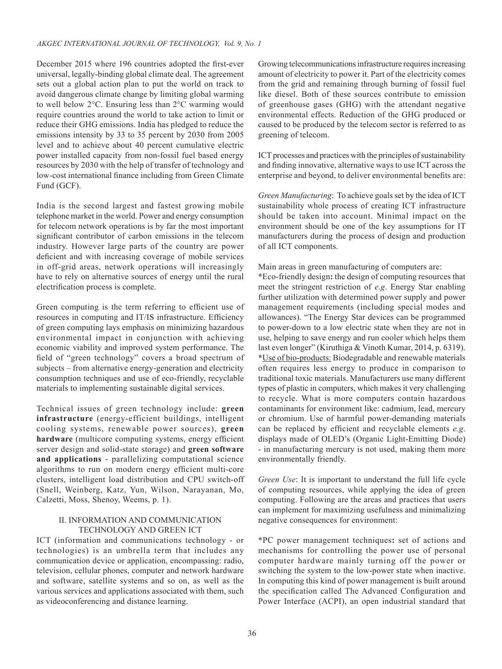December 2015 where 196 countries adopted the first-ever universal, legally-binding global climate deal. The agreement sets out a global action plan to put the world on track to avoid dangerous climate change by limiting global warming to well below 2°C. Ensuring less than 2°C warming would require countries around the world to take action to limit or reduce their GHG emissions. India has pledged to reduce the emissions intensity by 33 to 35 percent by 2030 from 2005 level and to achieve about 40 percent cumulative electric power installed capacity from non-fossil fuel based energy resources by 2030 with the help of transfer of technology and low-cost international finance including from Green Climate Fund (GCF).

India is the second largest and fastest growing mobile telephone market in the world. Power and energy consumption for telecom network operations is by far the most important significant contributor of carbon emissions in the telecom industry. However large parts of the country are power deficient and with increasing coverage of mobile services in off-grid areas, network operations will increasingly have to rely on alternative sources of energy until the rural electrification process is complete.

Green computing is the term referring to efficient use of resources in computing and IT/IS infrastructure. Efficiency of green computing lays emphasis on minimizing hazardous environmental impact in conjunction with achieving economic viability and improved system performance. The field of "green technology" covers a broad spectrum of subjects – from alternative energy-generation and electricity consumption techniques and use of eco-friendly, recyclable materials to implementing sustainable digital services.

Technical issues of green technology include: **green infrastructure** (energy-efficient buildings, intelligent cooling systems, renewable power sources), **green hardware** (multicore computing systems, energy efficient server design and solid-state storage) and **green software and applications** - parallelizing computational science algorithms to run on modern energy efficient multi-core clusters, intelligent load distribution and CPU switch-off (Snell, Weinberg, Katz, Yun, Wilson, Narayanan, Mo, Calzetti, Moss, Shenoy, Weems, p. 1).

### II. INFORMATION AND COMMUNICATION TECHNOLOGY AND GREEN ICT

ICT (information and communications technology - or technologies) is an umbrella term that includes any communication device or application, encompassing: radio, television, cellular phones, computer and network hardware and software, satellite systems and so on, as well as the various services and applications associated with them, such as videoconferencing and distance learning.

Growing telecommunications infrastructure requires increasing amount of electricity to power it. Part of the electricity comes from the grid and remaining through burning of fossil fuel like diesel. Both of these sources contribute to emission of greenhouse gases (GHG) with the attendant negative environmental effects. Reduction of the GHG produced or caused to be produced by the telecom sector is referred to as greening of telecom.

ICT processes and practices with the principles of sustainability and finding innovative, alternative ways to use ICT across the enterprise and beyond, to deliver environmental benefits are:

*Green Manufacturing*: To achieve goals set by the idea of ICT sustainability whole process of creating ICT infrastructure should be taken into account. Minimal impact on the environment should be one of the key assumptions for IT manufacturers during the process of design and production of all ICT components.

Main areas in green manufacturing of computers are:

**\***Eco-friendly design**:** the design of computing resources that meet the stringent restriction of *e.g*. Energy Star enabling further utilization with determined power supply and power management requirements (including special modes and allowances). "The Energy Star devices can be programmed to power-down to a low electric state when they are not in use, helping to save energy and run cooler which helps them last even longer" (Kiruthiga & Vinoth Kumar, 2014, p. 6319). **\***Use of bio-products: Biodegradable and renewable materials often requires less energy to produce in comparison to traditional toxic materials. Manufacturers use many different types of plastic in computers, which makes it very challenging to recycle. What is more computers contain hazardous contaminants for environment like: cadmium, lead, mercury or chromium. Use of harmful power-demanding materials can be replaced by efficient and recyclable elements *e.g*. displays made of OLED's (Organic Light-Emitting Diode) - in manufacturing mercury is not used, making them more environmentally friendly.

*Green Use*: It is important to understand the full life cycle of computing resources, while applying the idea of green computing. Following are the areas and practices that users can implement for maximizing usefulness and minimalizing negative consequences for environment:

**\***PC power management techniques**:** set of actions and mechanisms for controlling the power use of personal computer hardware mainly turning off the power or switching the system to the low-power state when inactive. In computing this kind of power management is built around the specification called The Advanced Configuration and Power Interface (ACPI), an open industrial standard that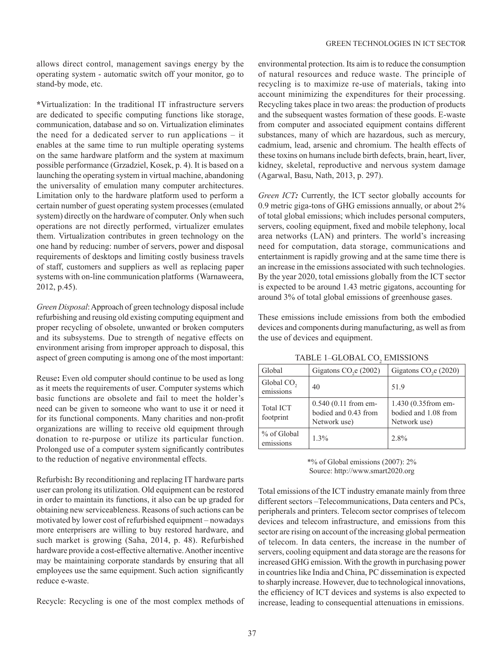allows direct control, management savings energy by the operating system - automatic switch off your monitor, go to stand-by mode, etc.

**\***Virtualization: In the traditional IT infrastructure servers are dedicated to specific computing functions like storage, communication, database and so on. Virtualization eliminates the need for a dedicated server to run applications – it enables at the same time to run multiple operating systems on the same hardware platform and the system at maximum possible performance (Grzadziel, Kosek, p. 4). It is based on a launching the operating system in virtual machine, abandoning the universality of emulation many computer architectures. Limitation only to the hardware platform used to perform a certain number of guest operating system processes (emulated system) directly on the hardware of computer. Only when such operations are not directly performed, virtualizer emulates them. Virtualization contributes in green technology on the one hand by reducing: number of servers, power and disposal requirements of desktops and limiting costly business travels of staff, customers and suppliers as well as replacing paper systems with on-line communication platforms (Warnaweera, 2012, p.45).

*Green Disposal*: Approach of green technology disposal include refurbishing and reusing old existing computing equipment and proper recycling of obsolete, unwanted or broken computers and its subsystems. Due to strength of negative effects on environment arising from improper approach to disposal, this aspect of green computing is among one of the most important:

Reuse**:** Even old computer should continue to be used as long as it meets the requirements of user. Computer systems which basic functions are obsolete and fail to meet the holder's need can be given to someone who want to use it or need it for its functional components. Many charities and non-profit organizations are willing to receive old equipment through donation to re-purpose or utilize its particular function. Prolonged use of a computer system significantly contributes to the reduction of negative environmental effects.

Refurbish**:** By reconditioning and replacing IT hardware parts user can prolong its utilization. Old equipment can be restored in order to maintain its functions, it also can be up graded for obtaining new serviceableness. Reasons of such actions can be motivated by lower cost of refurbished equipment – nowadays more enterprisers are willing to buy restored hardware, and such market is growing (Saha, 2014, p. 48). Refurbished hardware provide a cost-effective alternative. Another incentive may be maintaining corporate standards by ensuring that all employees use the same equipment. Such action significantly reduce e-waste.

Recycle: Recycling is one of the most complex methods of

environmental protection. Its aim is to reduce the consumption of natural resources and reduce waste. The principle of recycling is to maximize re-use of materials, taking into account minimizing the expenditures for their processing. Recycling takes place in two areas: the production of products and the subsequent wastes formation of these goods. E-waste from computer and associated equipment contains different substances, many of which are hazardous, such as mercury, cadmium, lead, arsenic and chromium. The health effects of these toxins on humans include birth defects, brain, heart, liver, kidney, skeletal, reproductive and nervous system damage (Agarwal, Basu, Nath, 2013, p. 297).

*Green ICT:* Currently, the ICT sector globally accounts for 0.9 metric giga-tons of GHG emissions annually, or about 2% of total global emissions; which includes personal computers, servers, cooling equipment, fixed and mobile telephony, local area networks (LAN) and printers. The world's increasing need for computation, data storage, communications and entertainment is rapidly growing and at the same time there is an increase in the emissions associated with such technologies. By the year 2020, total emissions globally from the ICT sector is expected to be around 1.43 metric gigatons, accounting for around 3% of total global emissions of greenhouse gases.

These emissions include emissions from both the embodied devices and components during manufacturing, as well as from the use of devices and equipment.

| Global                              | Gigatons CO <sub>2</sub> e (2002)                             | Gigatons $CO$ , $e(2020)$                                    |
|-------------------------------------|---------------------------------------------------------------|--------------------------------------------------------------|
| Global CO <sub>2</sub><br>emissions | 40                                                            | 51.9                                                         |
| <b>Total ICT</b><br>footprint       | $0.540(0.11$ from em-<br>bodied and 0.43 from<br>Network use) | 1.430 (0.35 from em-<br>bodied and 1.08 from<br>Network use) |
| % of Global<br>emissions            | 1.3%                                                          | 2.8%                                                         |

TABLE 1–GLOBAL  $\mathrm{CO}_2$  EMISSIONS

Total emissions of the ICT industry emanate mainly from three different sectors –Telecommunications, Data centers and PCs, peripherals and printers. Telecom sector comprises of telecom devices and telecom infrastructure, and emissions from this sector are rising on account of the increasing global permeation of telecom. In data centers, the increase in the number of servers, cooling equipment and data storage are the reasons for increased GHG emission. With the growth in purchasing power in countries like India and China, PC dissemination is expected to sharply increase. However, due to technological innovations, the efficiency of ICT devices and systems is also expected to increase, leading to consequential attenuations in emissions.

<sup>\*%</sup> of Global emissions (2007): 2% Source: http://www.smart2020.org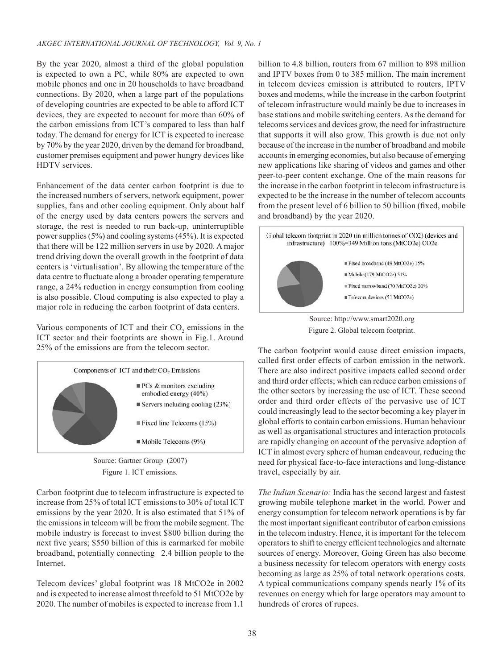By the year 2020, almost a third of the global population is expected to own a PC, while 80% are expected to own mobile phones and one in 20 households to have broadband connections. By 2020, when a large part of the populations of developing countries are expected to be able to afford ICT devices, they are expected to account for more than 60% of the carbon emissions from ICT's compared to less than half today. The demand for energy for ICT is expected to increase by 70% by the year 2020, driven by the demand for broadband, customer premises equipment and power hungry devices like HDTV services.

Enhancement of the data center carbon footprint is due to the increased numbers of servers, network equipment, power supplies, fans and other cooling equipment. Only about half of the energy used by data centers powers the servers and storage, the rest is needed to run back-up, uninterruptible power supplies (5%) and cooling systems (45%). It is expected that there will be 122 million servers in use by 2020. A major trend driving down the overall growth in the footprint of data centers is 'virtualisation'. By allowing the temperature of the data centre to fluctuate along a broader operating temperature range, a 24% reduction in energy consumption from cooling is also possible. Cloud computing is also expected to play a major role in reducing the carbon footprint of data centers.

Various components of ICT and their  $CO_2$  emissions in the ICT sector and their footprints are shown in Fig.1. Around 25% of the emissions are from the telecom sector.



Source: Gartner Group (2007) Figure 1. ICT emissions.

Carbon footprint due to telecom infrastructure is expected to increase from 25% of total ICT emissions to 30% of total ICT emissions by the year 2020. It is also estimated that 51% of the emissions in telecom will be from the mobile segment. The mobile industry is forecast to invest \$800 billion during the next five years; \$550 billion of this is earmarked for mobile broadband, potentially connecting 2.4 billion people to the Internet.

Telecom devices' global footprint was 18 MtCO2e in 2002 and is expected to increase almost threefold to 51 MtCO2e by 2020. The number of mobiles is expected to increase from 1.1

billion to 4.8 billion, routers from 67 million to 898 million and IPTV boxes from 0 to 385 million. The main increment in telecom devices emission is attributed to routers, IPTV boxes and modems, while the increase in the carbon footprint of telecom infrastructure would mainly be due to increases in base stations and mobile switching centers. As the demand for telecoms services and devices grow, the need for infrastructure that supports it will also grow. This growth is due not only because of the increase in the number of broadband and mobile accounts in emerging economies, but also because of emerging new applications like sharing of videos and games and other peer-to-peer content exchange. One of the main reasons for the increase in the carbon footprint in telecom infrastructure is expected to be the increase in the number of telecom accounts from the present level of 6 billion to 50 billion (fixed, mobile and broadband) by the year 2020.



Figure 2. Global telecom footprint.

The carbon footprint would cause direct emission impacts, called first order effects of carbon emission in the network. There are also indirect positive impacts called second order and third order effects; which can reduce carbon emissions of the other sectors by increasing the use of ICT. These second order and third order effects of the pervasive use of ICT could increasingly lead to the sector becoming a key player in global efforts to contain carbon emissions. Human behaviour as well as organisational structures and interaction protocols are rapidly changing on account of the pervasive adoption of ICT in almost every sphere of human endeavour, reducing the need for physical face-to-face interactions and long-distance travel, especially by air.

*The Indian Scenario:* India has the second largest and fastest growing mobile telephone market in the world. Power and energy consumption for telecom network operations is by far the most important significant contributor of carbon emissions in the telecom industry. Hence, it is important for the telecom operators to shift to energy efficient technologies and alternate sources of energy. Moreover, Going Green has also become a business necessity for telecom operators with energy costs becoming as large as 25% of total network operations costs. A typical communications company spends nearly 1% of its revenues on energy which for large operators may amount to hundreds of crores of rupees.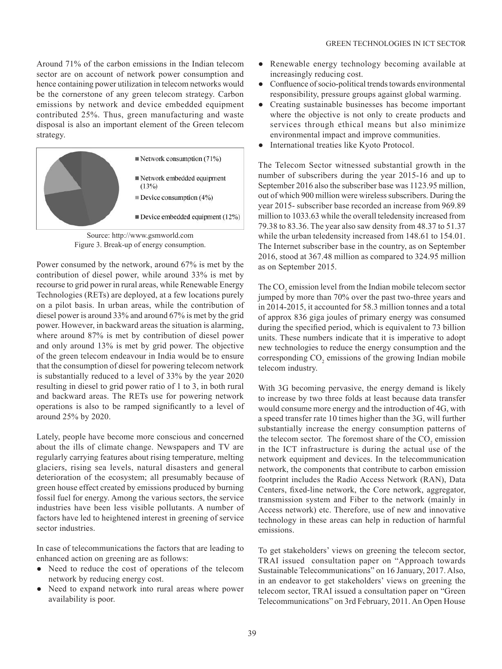Around 71% of the carbon emissions in the Indian telecom sector are on account of network power consumption and hence containing power utilization in telecom networks would be the cornerstone of any green telecom strategy. Carbon emissions by network and device embedded equipment contributed 25%. Thus, green manufacturing and waste disposal is also an important element of the Green telecom strategy.



Source: http://www.gsmworld.com Figure 3. Break-up of energy consumption.

Power consumed by the network, around 67% is met by the contribution of diesel power, while around 33% is met by recourse to grid power in rural areas, while Renewable Energy Technologies (RETs) are deployed, at a few locations purely on a pilot basis. In urban areas, while the contribution of diesel power is around 33% and around 67% is met by the grid power. However, in backward areas the situation is alarming, where around 87% is met by contribution of diesel power and only around 13% is met by grid power. The objective of the green telecom endeavour in India would be to ensure that the consumption of diesel for powering telecom network is substantially reduced to a level of 33% by the year 2020 resulting in diesel to grid power ratio of 1 to 3, in both rural and backward areas. The RETs use for powering network operations is also to be ramped significantly to a level of around 25% by 2020.

Lately, people have become more conscious and concerned about the ills of climate change. Newspapers and TV are regularly carrying features about rising temperature, melting glaciers, rising sea levels, natural disasters and general deterioration of the ecosystem; all presumably because of green house effect created by emissions produced by burning fossil fuel for energy. Among the various sectors, the service industries have been less visible pollutants. A number of factors have led to heightened interest in greening of service sector industries.

In case of telecommunications the factors that are leading to enhanced action on greening are as follows:

- Need to reduce the cost of operations of the telecom network by reducing energy cost.
- Need to expand network into rural areas where power availability is poor.
- Renewable energy technology becoming available at increasingly reducing cost.
- Confluence of socio-political trends towards environmental responsibility, pressure groups against global warming.
- Creating sustainable businesses has become important where the objective is not only to create products and services through ethical means but also minimize environmental impact and improve communities.
- International treaties like Kyoto Protocol.

The Telecom Sector witnessed substantial growth in the number of subscribers during the year 2015-16 and up to September 2016 also the subscriber base was 1123.95 million, out of which 900 million were wireless subscribers. During the year 2015- subscriber base recorded an increase from 969.89 million to 1033.63 while the overall teledensity increased from 79.38 to 83.36. The year also saw density from 48.37 to 51.37 while the urban teledensity increased from 148.61 to 154.01. The Internet subscriber base in the country, as on September 2016, stood at 367.48 million as compared to 324.95 million as on September 2015.

The  $CO_2$  emission level from the Indian mobile telecom sector jumped by more than 70% over the past two-three years and in 2014-2015, it accounted for 58.3 million tonnes and a total of approx 836 giga joules of primary energy was consumed during the specified period, which is equivalent to 73 billion units. These numbers indicate that it is imperative to adopt new technologies to reduce the energy consumption and the corresponding  $CO<sub>2</sub>$  emissions of the growing Indian mobile telecom industry.

With 3G becoming pervasive, the energy demand is likely to increase by two three folds at least because data transfer would consume more energy and the introduction of 4G, with a speed transfer rate 10 times higher than the 3G, will further substantially increase the energy consumption patterns of the telecom sector. The foremost share of the  $CO_2$  emission in the ICT infrastructure is during the actual use of the network equipment and devices. In the telecommunication network, the components that contribute to carbon emission footprint includes the Radio Access Network (RAN), Data Centers, fixed-line network, the Core network, aggregator, transmission system and Fiber to the network (mainly in Access network) etc. Therefore, use of new and innovative technology in these areas can help in reduction of harmful emissions.

To get stakeholders' views on greening the telecom sector, TRAI issued consultation paper on "Approach towards Sustainable Telecommunications" on 16 January, 2017. Also, in an endeavor to get stakeholders' views on greening the telecom sector, TRAI issued a consultation paper on "Green Telecommunications" on 3rd February, 2011. An Open House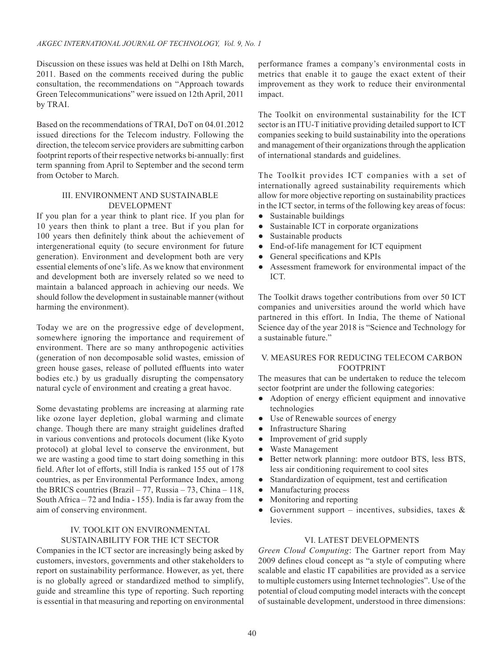Discussion on these issues was held at Delhi on 18th March, 2011. Based on the comments received during the public consultation, the recommendations on "Approach towards Green Telecommunications" were issued on 12th April, 2011 by TRAI.

Based on the recommendations of TRAI, DoT on 04.01.2012 issued directions for the Telecom industry. Following the direction, the telecom service providers are submitting carbon footprint reports of their respective networks bi-annually: first term spanning from April to September and the second term from October to March.

## III. ENVIRONMENT AND SUSTAINABLE DEVELOPMENT

If you plan for a year think to plant rice. If you plan for 10 years then think to plant a tree. But if you plan for 100 years then definitely think about the achievement of intergenerational equity (to secure environment for future generation). Environment and development both are very essential elements of one's life. As we know that environment and development both are inversely related so we need to maintain a balanced approach in achieving our needs. We should follow the development in sustainable manner (without harming the environment).

Today we are on the progressive edge of development, somewhere ignoring the importance and requirement of environment. There are so many anthropogenic activities (generation of non decomposable solid wastes, emission of green house gases, release of polluted effluents into water bodies etc.) by us gradually disrupting the compensatory natural cycle of environment and creating a great havoc.

Some devastating problems are increasing at alarming rate like ozone layer depletion, global warming and climate change. Though there are many straight guidelines drafted in various conventions and protocols document (like Kyoto protocol) at global level to conserve the environment, but we are wasting a good time to start doing something in this field. After lot of efforts, still India is ranked 155 out of 178 countries, as per Environmental Performance Index, among the BRICS countries (Brazil – 77, Russia – 73, China – 118, South Africa – 72 and India - 155). India is far away from the aim of conserving environment.

## IV. TOOLKIT ON ENVIRONMENTAL SUSTAINABILITY FOR THE ICT SECTOR

Companies in the ICT sector are increasingly being asked by customers, investors, governments and other stakeholders to report on sustainability performance. However, as yet, there is no globally agreed or standardized method to simplify, guide and streamline this type of reporting. Such reporting is essential in that measuring and reporting on environmental

performance frames a company's environmental costs in metrics that enable it to gauge the exact extent of their improvement as they work to reduce their environmental impact.

The Toolkit on environmental sustainability for the ICT sector is an ITU-T initiative providing detailed support to ICT companies seeking to build sustainability into the operations and management of their organizations through the application of international standards and guidelines.

The Toolkit provides ICT companies with a set of internationally agreed sustainability requirements which allow for more objective reporting on sustainability practices in the ICT sector, in terms of the following key areas of focus:

- Sustainable buildings
- Sustainable ICT in corporate organizations
- Sustainable products
- End-of-life management for ICT equipment
- General specifications and KPIs
- Assessment framework for environmental impact of the ICT.

The Toolkit draws together contributions from over 50 ICT companies and universities around the world which have partnered in this effort. In India, The theme of National Science day of the year 2018 is "Science and Technology for a sustainable future."

## V. MEASURES FOR REDUCING TELECOM CARBON FOOTPRINT

The measures that can be undertaken to reduce the telecom sector footprint are under the following categories:

- Adoption of energy efficient equipment and innovative technologies
- Use of Renewable sources of energy
- Infrastructure Sharing
- Improvement of grid supply
- Waste Management
- Better network planning: more outdoor BTS, less BTS, less air conditioning requirement to cool sites
- Standardization of equipment, test and certification
- Manufacturing process
- Monitoring and reporting
- Government support incentives, subsidies, taxes  $\&$ levies.

# VI. LATEST DEVELOPMENTS

*Green Cloud Computing*: The Gartner report from May 2009 defines cloud concept as "a style of computing where scalable and elastic IT capabilities are provided as a service to multiple customers using Internet technologies". Use of the potential of cloud computing model interacts with the concept of sustainable development, understood in three dimensions: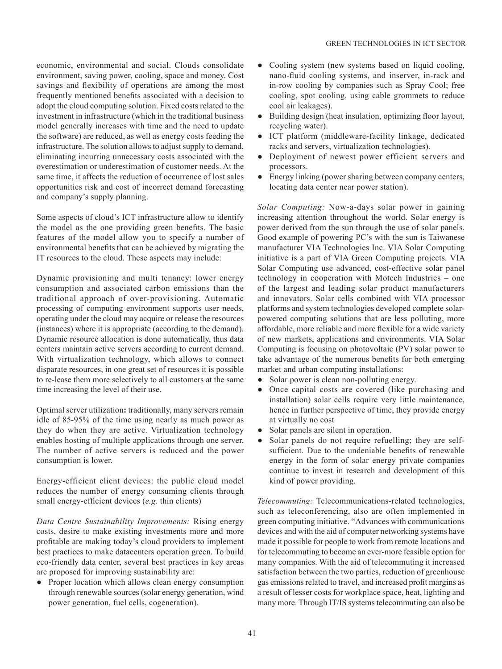economic, environmental and social. Clouds consolidate environment, saving power, cooling, space and money. Cost savings and flexibility of operations are among the most frequently mentioned benefits associated with a decision to adopt the cloud computing solution. Fixed costs related to the investment in infrastructure (which in the traditional business model generally increases with time and the need to update the software) are reduced, as well as energy costs feeding the infrastructure. The solution allows to adjust supply to demand, eliminating incurring unnecessary costs associated with the overestimation or underestimation of customer needs. At the same time, it affects the reduction of occurrence of lost sales opportunities risk and cost of incorrect demand forecasting and company's supply planning.

Some aspects of cloud's ICT infrastructure allow to identify the model as the one providing green benefits. The basic features of the model allow you to specify a number of environmental benefits that can be achieved by migrating the IT resources to the cloud. These aspects may include:

Dynamic provisioning and multi tenancy: lower energy consumption and associated carbon emissions than the traditional approach of over-provisioning. Automatic processing of computing environment supports user needs, operating under the cloud may acquire or release the resources (instances) where it is appropriate (according to the demand). Dynamic resource allocation is done automatically, thus data centers maintain active servers according to current demand. With virtualization technology, which allows to connect disparate resources, in one great set of resources it is possible to re-lease them more selectively to all customers at the same time increasing the level of their use.

Optimal server utilization**:** traditionally, many servers remain idle of 85-95% of the time using nearly as much power as they do when they are active. Virtualization technology enables hosting of multiple applications through one server. The number of active servers is reduced and the power consumption is lower.

Energy-efficient client devices: the public cloud model reduces the number of energy consuming clients through small energy-efficient devices (*e.g.* thin clients)

*Data Centre Sustainability Improvements:* Rising energy costs, desire to make existing investments more and more profitable are making today's cloud providers to implement best practices to make datacenters operation green. To build eco-friendly data center, several best practices in key areas are proposed for improving sustainability are:

● Proper location which allows clean energy consumption through renewable sources (solar energy generation, wind power generation, fuel cells, cogeneration).

- Cooling system (new systems based on liquid cooling, nano-fluid cooling systems, and inserver, in-rack and in-row cooling by companies such as Spray Cool; free cooling, spot cooling, using cable grommets to reduce cool air leakages).
- Building design (heat insulation, optimizing floor layout, recycling water).
- ICT platform (middleware-facility linkage, dedicated racks and servers, virtualization technologies).
- Deployment of newest power efficient servers and processors.
- Energy linking (power sharing between company centers, locating data center near power station).

*Solar Computing:* Now-a-days solar power in gaining increasing attention throughout the world. Solar energy is power derived from the sun through the use of solar panels. Good example of powering PC's with the sun is Taiwanese manufacturer VIA Technologies Inc. VIA Solar Computing initiative is a part of VIA Green Computing projects. VIA Solar Computing use advanced, cost-effective solar panel technology in cooperation with Motech Industries – one of the largest and leading solar product manufacturers and innovators. Solar cells combined with VIA processor platforms and system technologies developed complete solarpowered computing solutions that are less polluting, more affordable, more reliable and more flexible for a wide variety of new markets, applications and environments. VIA Solar Computing is focusing on photovoltaic (PV) solar power to take advantage of the numerous benefits for both emerging market and urban computing installations:

- Solar power is clean non-polluting energy.
- Once capital costs are covered (like purchasing and installation) solar cells require very little maintenance, hence in further perspective of time, they provide energy at virtually no cost
- Solar panels are silent in operation.
- Solar panels do not require refuelling; they are selfsufficient. Due to the undeniable benefits of renewable energy in the form of solar energy private companies continue to invest in research and development of this kind of power providing.

*Telecommuting:* Telecommunications-related technologies, such as teleconferencing, also are often implemented in green computing initiative. "Advances with communications devices and with the aid of computer networking systems have made it possible for people to work from remote locations and for telecommuting to become an ever-more feasible option for many companies. With the aid of telecommuting it increased satisfaction between the two parties, reduction of greenhouse gas emissions related to travel, and increased profit margins as a result of lesser costs for workplace space, heat, lighting and many more. Through IT/IS systems telecommuting can also be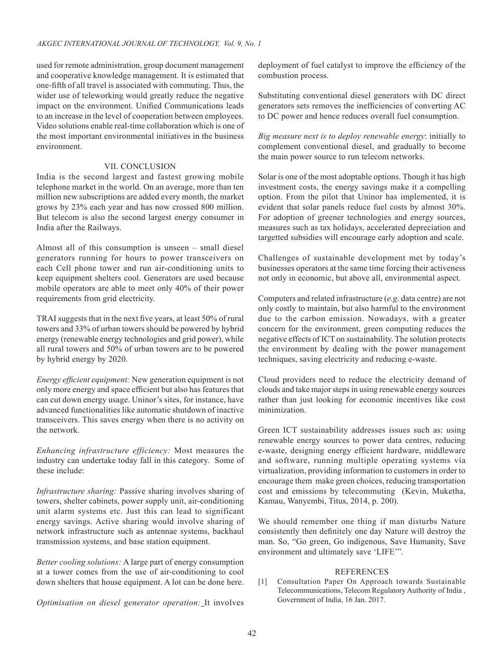used for remote administration, group document management and cooperative knowledge management. It is estimated that one-fifth of all travel is associated with commuting. Thus, the wider use of teleworking would greatly reduce the negative impact on the environment. Unified Communications leads to an increase in the level of cooperation between employees. Video solutions enable real-time collaboration which is one of the most important environmental initiatives in the business environment.

## VII. CONCLUSION

India is the second largest and fastest growing mobile telephone market in the world. On an average, more than ten million new subscriptions are added every month, the market grows by 23% each year and has now crossed 800 million. But telecom is also the second largest energy consumer in India after the Railways.

Almost all of this consumption is unseen – small diesel generators running for hours to power transceivers on each Cell phone tower and run air-conditioning units to keep equipment shelters cool. Generators are used because mobile operators are able to meet only 40% of their power requirements from grid electricity.

TRAI suggests that in the next five years, at least 50% of rural towers and 33% of urban towers should be powered by hybrid energy (renewable energy technologies and grid power), while all rural towers and 50% of urban towers are to be powered by hybrid energy by 2020.

*Energy efficient equipment:* New generation equipment is not only more energy and space efficient but also has features that can cut down energy usage. Uninor's sites, for instance, have advanced functionalities like automatic shutdown of inactive transceivers. This saves energy when there is no activity on the network.

*Enhancing infrastructure efficiency:* Most measures the industry can undertake today fall in this category. Some of these include:

*Infrastructure sharing:* Passive sharing involves sharing of towers, shelter cabinets, power supply unit, air-conditioning unit alarm systems etc. Just this can lead to significant energy savings. Active sharing would involve sharing of network infrastructure such as antennae systems, backhaul transmission systems, and base station equipment.

*Better cooling solutions:* A large part of energy consumption at a tower comes from the use of air-conditioning to cool down shelters that house equipment. A lot can be done here.

*Optimisation on diesel generator operation:* It involves

deployment of fuel catalyst to improve the efficiency of the combustion process.

Substituting conventional diesel generators with DC direct generators sets removes the inefficiencies of converting AC to DC power and hence reduces overall fuel consumption.

*Big measure next is to deploy renewable energy*: initially to complement conventional diesel, and gradually to become the main power source to run telecom networks.

Solar is one of the most adoptable options. Though it has high investment costs, the energy savings make it a compelling option. From the pilot that Uninor has implemented, it is evident that solar panels reduce fuel costs by almost 30%. For adoption of greener technologies and energy sources, measures such as tax holidays, accelerated depreciation and targetted subsidies will encourage early adoption and scale.

Challenges of sustainable development met by today's businesses operators at the same time forcing their activeness not only in economic, but above all, environmental aspect.

Computers and related infrastructure (*e.g*. data centre) are not only costly to maintain, but also harmful to the environment due to the carbon emission. Nowadays, with a greater concern for the environment, green computing reduces the negative effects of ICT on sustainability. The solution protects the environment by dealing with the power management techniques, saving electricity and reducing e-waste.

Cloud providers need to reduce the electricity demand of clouds and take major steps in using renewable energy sources rather than just looking for economic incentives like cost minimization.

Green ICT sustainability addresses issues such as: using renewable energy sources to power data centres, reducing e-waste, designing energy efficient hardware, middleware and software, running multiple operating systems via virtualization, providing information to customers in order to encourage them make green choices, reducing transportation cost and emissions by telecommuting (Kevin, Muketha, Kamau, Wanyembi, Titus, 2014, p. 200).

We should remember one thing if man disturbs Nature consistently then definitely one day Nature will destroy the man. So, "Go green, Go indigenous, Save Humanity, Save environment and ultimately save 'LIFE'".

### **REFERENCES**

[1] Consultation Paper On Approach towards Sustainable Telecommunications, Telecom Regulatory Authority of India , Government of India, 16 Jan. 2017.